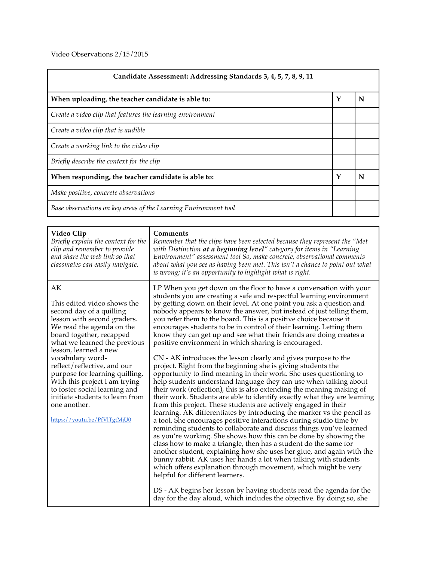Video Observations 2/15/2015

| Candidate Assessment: Addressing Standards 3, 4, 5, 7, 8, 9, 11 |   |   |
|-----------------------------------------------------------------|---|---|
| When uploading, the teacher candidate is able to:               | Y | N |
| Create a video clip that features the learning environment      |   |   |
| Create a video clip that is audible                             |   |   |
| Create a working link to the video clip                         |   |   |
| Briefly describe the context for the clip                       |   |   |
| When responding, the teacher candidate is able to:              |   | N |
| Make positive, concrete observations                            |   |   |
| Base observations on key areas of the Learning Environment tool |   |   |

| Video Clip<br>Briefly explain the context for the<br>clip and remember to provide<br>and share the web link so that<br>classmates can easily navigate.                                                                                                                                                                                                                                                                                                   | Comments<br>Remember that the clips have been selected because they represent the "Met<br>with Distinction at a beginning level" category for items in "Learning<br>Environment" assessment tool So, make concrete, observational comments<br>about what you see as having been met. This isn't a chance to point out what<br>is wrong; it's an opportunity to highlight what is right.                                                                                                                                                                                                                                                                                                                                                                                                                                                                                                                                                                                                                                                                                                                                                                                                                                                                                                                                                                                                                                                                                                                                                                                                                                                                                                                                                                                                                                                      |
|----------------------------------------------------------------------------------------------------------------------------------------------------------------------------------------------------------------------------------------------------------------------------------------------------------------------------------------------------------------------------------------------------------------------------------------------------------|----------------------------------------------------------------------------------------------------------------------------------------------------------------------------------------------------------------------------------------------------------------------------------------------------------------------------------------------------------------------------------------------------------------------------------------------------------------------------------------------------------------------------------------------------------------------------------------------------------------------------------------------------------------------------------------------------------------------------------------------------------------------------------------------------------------------------------------------------------------------------------------------------------------------------------------------------------------------------------------------------------------------------------------------------------------------------------------------------------------------------------------------------------------------------------------------------------------------------------------------------------------------------------------------------------------------------------------------------------------------------------------------------------------------------------------------------------------------------------------------------------------------------------------------------------------------------------------------------------------------------------------------------------------------------------------------------------------------------------------------------------------------------------------------------------------------------------------------|
| AK<br>This edited video shows the<br>second day of a quilling<br>lesson with second graders.<br>We read the agenda on the<br>board together, recapped<br>what we learned the previous<br>lesson, learned a new<br>vocabulary word-<br>reflect/reflective, and our<br>purpose for learning quilling.<br>With this project I am trying<br>to foster social learning and<br>initiate students to learn from<br>one another.<br>https://youtu.be/PfVITgtMjU0 | LP When you get down on the floor to have a conversation with your<br>students you are creating a safe and respectful learning environment<br>by getting down on their level. At one point you ask a question and<br>nobody appears to know the answer, but instead of just telling them,<br>you refer them to the board. This is a positive choice because it<br>encourages students to be in control of their learning. Letting them<br>know they can get up and see what their friends are doing creates a<br>positive environment in which sharing is encouraged.<br>CN - AK introduces the lesson clearly and gives purpose to the<br>project. Right from the beginning she is giving students the<br>opportunity to find meaning in their work. She uses questioning to<br>help students understand language they can use when talking about<br>their work (reflection), this is also extending the meaning making of<br>their work. Students are able to identify exactly what they are learning<br>from this project. These students are actively engaged in their<br>learning. AK differentiates by introducing the marker vs the pencil as<br>a tool. She encourages positive interactions during studio time by<br>reminding students to collaborate and discuss things you've learned<br>as you're working. She shows how this can be done by showing the<br>class how to make a triangle, then has a student do the same for<br>another student, explaining how she uses her glue, and again with the<br>bunny rabbit. AK uses her hands a lot when talking with students<br>which offers explanation through movement, which might be very<br>helpful for different learners.<br>DS - AK begins her lesson by having students read the agenda for the<br>day for the day aloud, which includes the objective. By doing so, she |